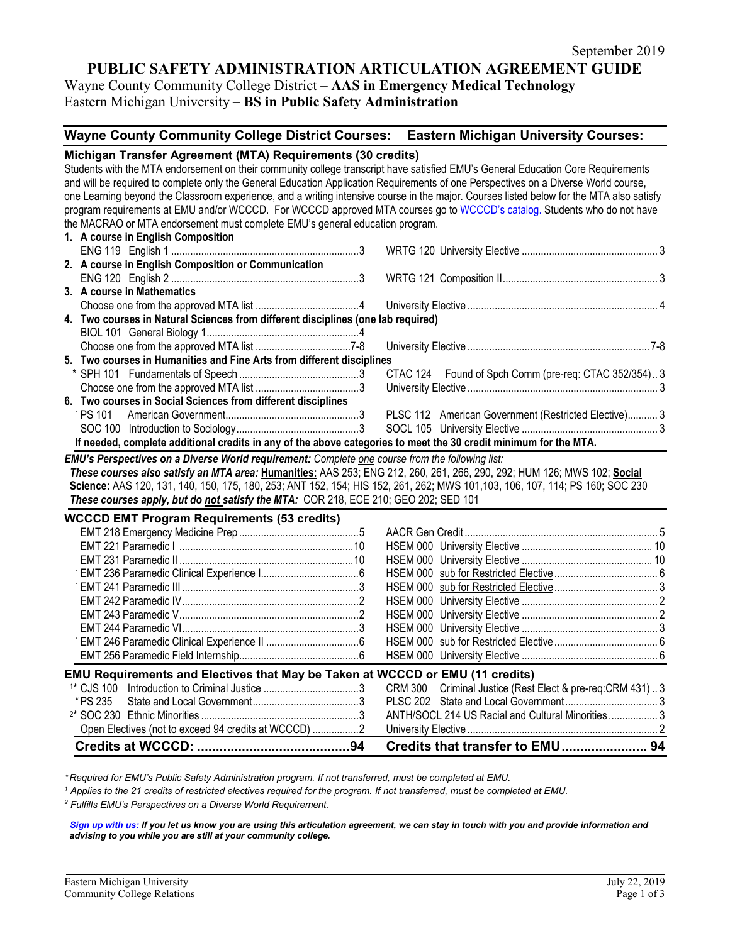# **PUBLIC SAFETY ADMINISTRATION ARTICULATION AGREEMENT GUIDE**

Wayne County Community College District – **AAS in Emergency Medical Technology** Eastern Michigan University – **BS in Public Safety Administration**

### **Wayne County Community College District Courses: Eastern Michigan University Courses:**

#### **Michigan Transfer Agreement (MTA) Requirements (30 credits)** Students with the MTA endorsement on their community college transcript have satisfied EMU's General Education Core Requirements and will be required to complete only the General Education Application Requirements of one Perspectives on a Diverse World course, one Learning beyond the Classroom experience, and a writing intensive course in the major. Courses listed below for the MTA also satisfy program requirements at EMU and/or WCCCD. For WCCCD approved MTA courses go to [WCCCD's catalog.](http://www.wcccd.edu/students/college_catalog.htm) Students who do not have the MACRAO or MTA endorsement must complete EMU's general education program. **1. A course in English Composition** ENG 119 English 1 .....................................................................3 WRTG 120 University Elective .................................................. 3 **2. A course in English Composition or Communication** ENG 120 English 2 .....................................................................3 WRTG 121 Composition II......................................................... 3 **3. A course in Mathematics** Choose one from the approved MTA list ......................................4 University Elective ...................................................................... 4 **4. Two courses in Natural Sciences from different disciplines (one lab required)** BIOL 101 General Biology 1........................................................4 Choose one from the approved MTA list ...................................7-8 University Elective ................................................................... 7-8 **5. Two courses in Humanities and Fine Arts from different disciplines** \* SPH 101 Fundamentals of Speech ............................................3 CTAC 124 Found of Spch Comm (pre-req: CTAC 352/354).. 3 Choose one from the approved MTA list ......................................3 University Elective ...................................................................... 3 **6. Two courses in Social Sciences from different disciplines** <sup>1</sup> PS 101 American Government.................................................3 PLSC 112 American Government (Restricted Elective)........... 3 SOC 100 Introduction to Sociology.............................................3 SOCL 105 University Elective .................................................. 3 **If needed, complete additional credits in any of the above categories to meet the 30 credit minimum for the MTA.** *EMU's Perspectives on a Diverse World requirement: Complete one course from the following list: These courses also satisfy an MTA area:* **Humanities:** AAS 253; ENG 212, 260, 261, 266, 290, 292; HUM 126; MWS 102; **Social Science:** AAS 120, 131, 140, 150, 175, 180, 253; ANT 152, 154; HIS 152, 261, 262; MWS 101,103, 106, 107, 114; PS 160; SOC 230 *These courses apply, but do not satisfy the MTA:* COR 218, ECE 210; GEO 202; SED 101 **WCCCD EMT Program Requirements (53 credits)** EMT 218 Emergency Medicine Prep ............................................5 AACR Gen Credit ....................................................................... 5 EMT 221 Paramedic I ................................................................10 HSEM 000 University Elective ................................................ 10 EMT 231 Paramedic II ................................................................10 HSEM 000 University Elective ................................................ 10 <sup>1</sup> EMT 236 Paramedic Clinical Experience I....................................6 HSEM 000 sub for Restricted Elective...................................... 6 <sup>1</sup> EMT 241 Paramedic III .................................................................3 HSEM 000 sub for Restricted Elective...................................... 3 EMT 242 Paramedic IV.................................................................2 HSEM 000 University Elective .................................................. 2 EMT 243 Paramedic V..................................................................2 HSEM 000 University Elective .................................................. 2 EMT 244 Paramedic VI.................................................................3 HSEM 000 University Elective .................................................. 3 <sup>1</sup> EMT 246 Paramedic Clinical Experience II ..................................6 HSEM 000 sub for Restricted Elective...................................... 6 EMT 256 Paramedic Field Internship............................................6 HSEM 000 University Elective .................................................. 6 **EMU Requirements and Electives that May be Taken at WCCCD or EMU (11 credits)** 1\* CJS 100 Introduction to Criminal Justice ...................................3 CRM 300 Criminal Justice (Rest Elect & pre-req:CRM 431) .. 3 \* PS 235 State and Local Government.......................................3 PLSC 202 State and Local Government.................................. 3 2\* SOC 230 Ethnic Minorities ..........................................................3 ANTH/SOCL 214 US Racial and Cultural Minorities .................. 3 Open Electives (not to exceed 94 credits at WCCCD) .................2 University Elective ...................................................................... 2 **Credits at WCCCD: .........................................94 Credits that transfer to EMU....................... 94**

*\* Required for EMU's Public Safety Administration program. If not transferred, must be completed at EMU.* 

*<sup>1</sup> Applies to the 21 credits of restricted electives required for the program. If not transferred, must be completed at EMU.*

*<sup>2</sup> Fulfills EMU's Perspectives on a Diverse World Requirement.*

*[Sign up with us:](https://www.emich.edu/ccr/articulation-agreements/signup.php) If you let us know you are using this articulation agreement, we can stay in touch with you and provide information and advising to you while you are still at your community college.*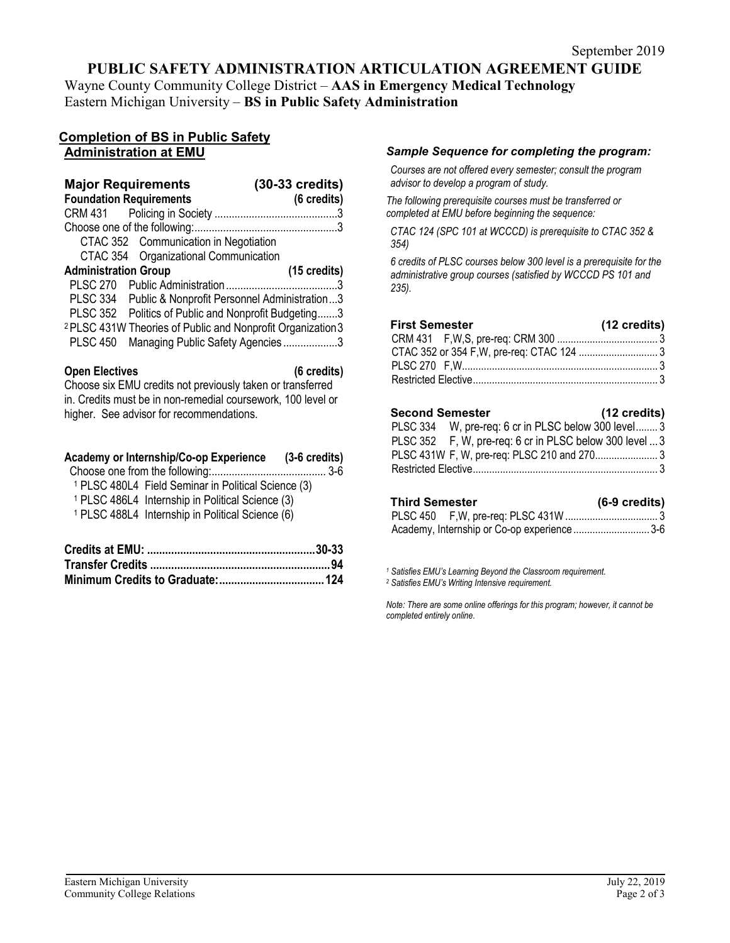# **PUBLIC SAFETY ADMINISTRATION ARTICULATION AGREEMENT GUIDE**

Wayne County Community College District – **AAS in Emergency Medical Technology** Eastern Michigan University – **BS in Public Safety Administration**

### **Completion of BS in Public Safety Administration at EMU**

| <b>Major Requirements</b><br><b>Foundation Requirements</b>            | $(30-33 \text{ credits})$<br>(6 credits) |
|------------------------------------------------------------------------|------------------------------------------|
|                                                                        |                                          |
|                                                                        |                                          |
| CTAC 352 Communication in Negotiation                                  |                                          |
| CTAC 354 Organizational Communication                                  |                                          |
| <b>Administration Group</b>                                            | (15 credits)                             |
|                                                                        |                                          |
| PLSC 334 Public & Nonprofit Personnel Administration3                  |                                          |
| PLSC 352 Politics of Public and Nonprofit Budgeting3                   |                                          |
| <sup>2</sup> PLSC 431W Theories of Public and Nonprofit Organization 3 |                                          |
| Managing Public Safety Agencies3<br>PLSC 450                           |                                          |
|                                                                        |                                          |

**Open Electives (6 credits)** Choose six EMU credits not previously taken or transferred in. Credits must be in non-remedial coursework, 100 level or higher. See advisor for recommendations.

|  | Academy or Internship/Co-op Experience | $(3-6 \text{ credits})$ |
|--|----------------------------------------|-------------------------|
|  |                                        |                         |

| <sup>1</sup> PLSC 480L4 Field Seminar in Political Science (3) |  |  |  |
|----------------------------------------------------------------|--|--|--|

<sup>1</sup> PLSC 486L4 Internship in Political Science (3) <sup>1</sup> PLSC 488L4 Internship in Political Science (3)

#### *Sample Sequence for completing the program:*

*Courses are not offered every semester; consult the program advisor to develop a program of study.*

*The following prerequisite courses must be transferred or completed at EMU before beginning the sequence:*

*CTAC 124 (SPC 101 at WCCCD) is prerequisite to CTAC 352 & 354)*

*6 credits of PLSC courses below 300 level is a prerequisite for the administrative group courses (satisfied by WCCCD PS 101 and 235).*

| <b>First Semester</b> | (12 credits) |
|-----------------------|--------------|
|                       |              |
|                       |              |
|                       |              |
|                       |              |

| Second Semester | (12 credits) |
|-----------------|--------------|
|-----------------|--------------|

PLSC 334 W, pre-req: 6 cr in PLSC below 300 level........ 3 PLSC 352 F, W, pre-req: 6 cr in PLSC below 300 level ...3 PLSC 431W F, W, pre-req: PLSC 210 and 270....................... 3 Restricted Elective.................................................................... 3

| Third Semester | $(6-9 \text{ credits})$ |
|----------------|-------------------------|
|                |                         |

| Academy, Internship or Co-op experience 3-6 |  |
|---------------------------------------------|--|

*<sup>1</sup> Satisfies EMU's Learning Beyond the Classroom requirement.*

*<sup>2</sup> Satisfies EMU's Writing Intensive requirement.*

*Note: There are some online offerings for this program; however, it cannot be completed entirely online*.